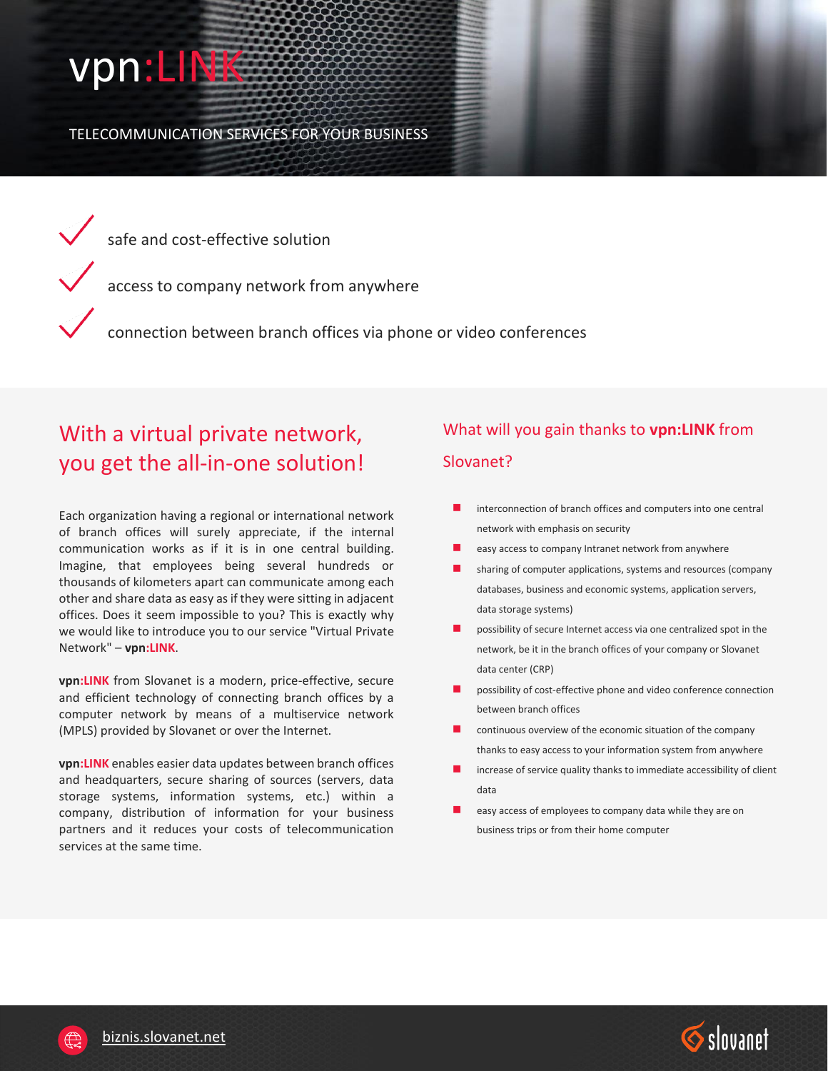## vpn:LINK

TELECOMMUNICATION SERVICES FOR YOUR BUSINESS

 $\sqrt{\phantom{a}}$  safe and cost-effective solution

access to company network from anywhere

connection between branch offices via phone or video conferences

## With a virtual private network, you get the all-in-one solution!

Each organization having a regional or international network of branch offices will surely appreciate, if the internal communication works as if it is in one central building. Imagine, that employees being several hundreds or thousands of kilometers apart can communicate among each other and share data as easy as if they were sitting in adjacent offices. Does it seem impossible to you? This is exactly why we would like to introduce you to our service "Virtual Private Network" – **vpn:LINK**.

**vpn:LINK** from Slovanet is a modern, price-effective, secure and efficient technology of connecting branch offices by a computer network by means of a multiservice network (MPLS) provided by Slovanet or over the Internet.

**vpn:LINK** enables easier data updates between branch offices and headquarters, secure sharing of sources (servers, data storage systems, information systems, etc.) within a company, distribution of information for your business partners and it reduces your costs of telecommunication services at the same time.

## What will you gain thanks to **vpn:LINK** from Slovanet?

- interconnection of branch offices and computers into one central network with emphasis on security
- easy access to company Intranet network from anywhere
- sharing of computer applications, systems and resources (company databases, business and economic systems, application servers, data storage systems)
- possibility of secure Internet access via one centralized spot in the network, be it in the branch offices of your company or Slovanet data center (CRP)
- possibility of cost-effective phone and video conference connection between branch offices
- continuous overview of the economic situation of the company thanks to easy access to your information system from anywhere
- increase of service quality thanks to immediate accessibility of client data
- easy access of employees to company data while they are on business trips or from their home computer